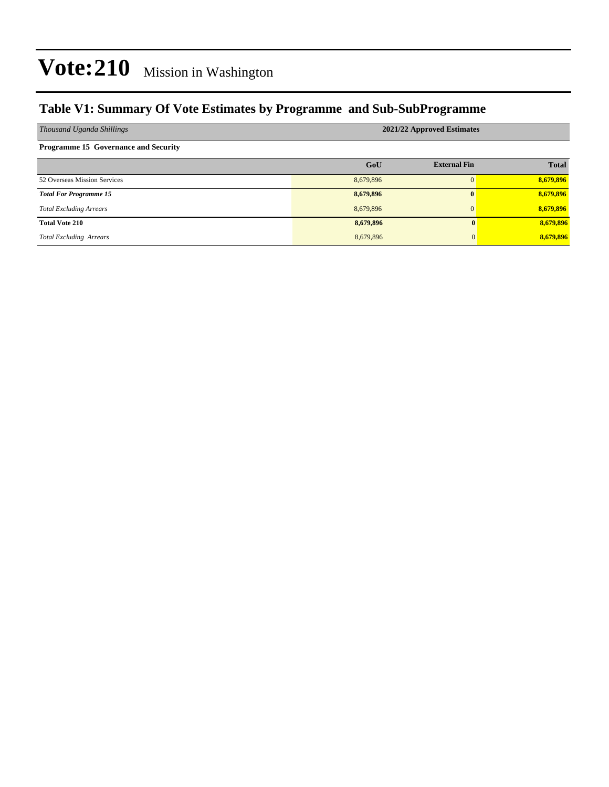## **Table V1: Summary Of Vote Estimates by Programme and Sub-SubProgramme**

| Thousand Uganda Shillings                   | 2021/22 Approved Estimates |                     |              |  |  |
|---------------------------------------------|----------------------------|---------------------|--------------|--|--|
| <b>Programme 15 Governance and Security</b> |                            |                     |              |  |  |
|                                             | GoU                        | <b>External Fin</b> | <b>Total</b> |  |  |
| 52 Overseas Mission Services                | 8,679,896                  |                     | 8,679,896    |  |  |
| <b>Total For Programme 15</b>               | 8,679,896                  |                     | 8,679,896    |  |  |
| <b>Total Excluding Arrears</b>              | 8,679,896                  |                     | 8,679,896    |  |  |
| <b>Total Vote 210</b>                       | 8,679,896                  | 0                   | 8,679,896    |  |  |
| <b>Total Excluding Arrears</b>              | 8,679,896                  | $\mathbf{0}$        | 8,679,896    |  |  |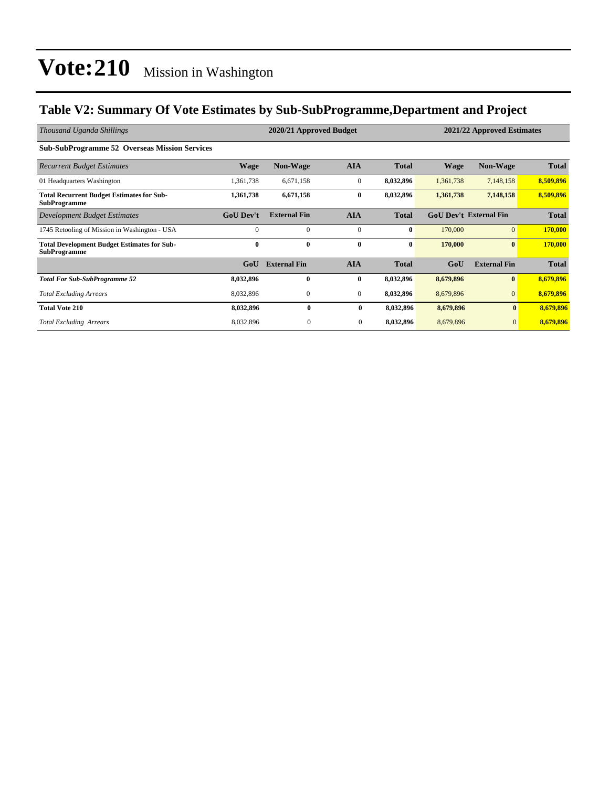## **Table V2: Summary Of Vote Estimates by Sub-SubProgramme,Department and Project**

| Thousand Uganda Shillings                                                 | 2020/21 Approved Budget<br>2021/22 Approved Estimates |                     |                  |              |             |                               |              |
|---------------------------------------------------------------------------|-------------------------------------------------------|---------------------|------------------|--------------|-------------|-------------------------------|--------------|
| <b>Sub-SubProgramme 52 Overseas Mission Services</b>                      |                                                       |                     |                  |              |             |                               |              |
| <b>Recurrent Budget Estimates</b>                                         | <b>Wage</b>                                           | <b>Non-Wage</b>     | <b>AIA</b>       | <b>Total</b> | <b>Wage</b> | Non-Wage                      | <b>Total</b> |
| 01 Headquarters Washington                                                | 1,361,738                                             | 6,671,158           | $\mathbf{0}$     | 8,032,896    | 1,361,738   | 7,148,158                     | 8,509,896    |
| <b>Total Recurrent Budget Estimates for Sub-</b><br><b>SubProgramme</b>   | 1,361,738                                             | 6,671,158           | $\bf{0}$         | 8,032,896    | 1,361,738   | 7,148,158                     | 8,509,896    |
| Development Budget Estimates                                              | <b>GoU</b> Dev't                                      | <b>External Fin</b> | <b>AIA</b>       | <b>Total</b> |             | <b>GoU Dev't External Fin</b> | <b>Total</b> |
| 1745 Retooling of Mission in Washington - USA                             | $\Omega$                                              | $\Omega$            | $\mathbf{0}$     | $\bf{0}$     | 170,000     | $\overline{0}$                | 170,000      |
| <b>Total Development Budget Estimates for Sub-</b><br><b>SubProgramme</b> | $\bf{0}$                                              | $\bf{0}$            | $\bf{0}$         | $\bf{0}$     | 170,000     | $\bf{0}$                      | 170,000      |
|                                                                           | GoU                                                   | <b>External Fin</b> | <b>AIA</b>       | <b>Total</b> | GoU         | <b>External Fin</b>           | <b>Total</b> |
| <b>Total For Sub-SubProgramme 52</b>                                      | 8,032,896                                             | $\mathbf{0}$        | $\bf{0}$         | 8,032,896    | 8,679,896   | $\bf{0}$                      | 8,679,896    |
| <b>Total Excluding Arrears</b>                                            | 8,032,896                                             | $\boldsymbol{0}$    | $\boldsymbol{0}$ | 8,032,896    | 8,679,896   | $\mathbf{0}$                  | 8,679,896    |
| <b>Total Vote 210</b>                                                     | 8,032,896                                             | $\mathbf{0}$        | $\mathbf{0}$     | 8,032,896    | 8,679,896   | $\mathbf{0}$                  | 8,679,896    |
| <b>Total Excluding Arrears</b>                                            | 8,032,896                                             | $\mathbf{0}$        | $\mathbf{0}$     | 8,032,896    | 8,679,896   | $\mathbf{0}$                  | 8,679,896    |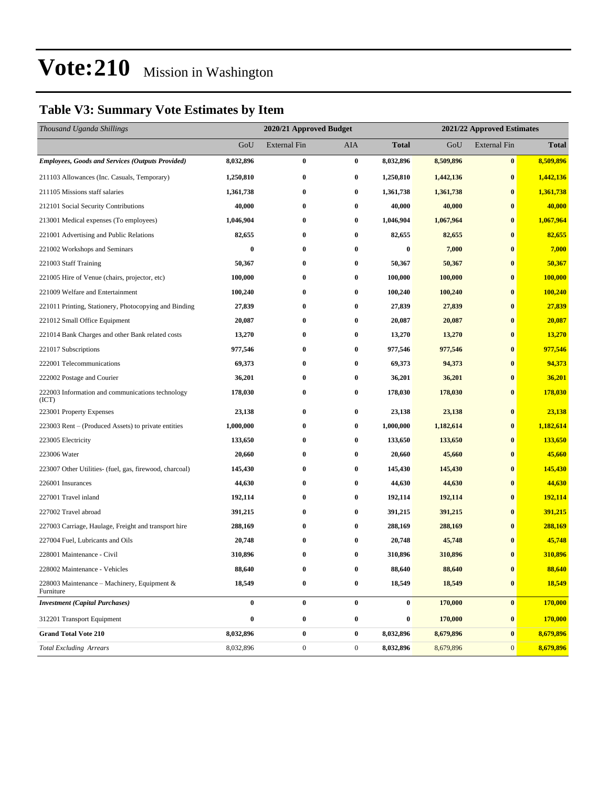## **Table V3: Summary Vote Estimates by Item**

| Thousand Uganda Shillings                                 | 2020/21 Approved Budget |                     |                  |                  | 2021/22 Approved Estimates |                     |              |  |
|-----------------------------------------------------------|-------------------------|---------------------|------------------|------------------|----------------------------|---------------------|--------------|--|
|                                                           | GoU                     | <b>External Fin</b> | AIA              | <b>Total</b>     | GoU                        | <b>External Fin</b> | <b>Total</b> |  |
| <b>Employees, Goods and Services (Outputs Provided)</b>   | 8,032,896               | $\bf{0}$            | $\bf{0}$         | 8,032,896        | 8,509,896                  | $\bf{0}$            | 8,509,896    |  |
| 211103 Allowances (Inc. Casuals, Temporary)               | 1,250,810               | $\bf{0}$            | $\bf{0}$         | 1,250,810        | 1,442,136                  | $\bf{0}$            | 1,442,136    |  |
| 211105 Missions staff salaries                            | 1,361,738               | $\bf{0}$            | $\bf{0}$         | 1,361,738        | 1,361,738                  | $\bf{0}$            | 1,361,738    |  |
| 212101 Social Security Contributions                      | 40,000                  | $\bf{0}$            | $\bf{0}$         | 40,000           | 40,000                     | $\bf{0}$            | 40,000       |  |
| 213001 Medical expenses (To employees)                    | 1,046,904               | 0                   | $\bf{0}$         | 1,046,904        | 1,067,964                  | $\bf{0}$            | 1,067,964    |  |
| 221001 Advertising and Public Relations                   | 82,655                  | $\bf{0}$            | $\bf{0}$         | 82,655           | 82,655                     | $\bf{0}$            | 82,655       |  |
| 221002 Workshops and Seminars                             | $\bf{0}$                | $\bf{0}$            | $\bf{0}$         | 0                | 7,000                      | $\bf{0}$            | 7,000        |  |
| 221003 Staff Training                                     | 50,367                  | $\bf{0}$            | $\bf{0}$         | 50,367           | 50,367                     | $\bf{0}$            | 50,367       |  |
| 221005 Hire of Venue (chairs, projector, etc)             | 100,000                 | $\bf{0}$            | $\bf{0}$         | 100,000          | 100,000                    | $\bf{0}$            | 100,000      |  |
| 221009 Welfare and Entertainment                          | 100,240                 | 0                   | $\bf{0}$         | 100,240          | 100,240                    | $\bf{0}$            | 100,240      |  |
| 221011 Printing, Stationery, Photocopying and Binding     | 27,839                  | $\bf{0}$            | $\bf{0}$         | 27,839           | 27,839                     | $\bf{0}$            | 27,839       |  |
| 221012 Small Office Equipment                             | 20,087                  | $\bf{0}$            | $\bf{0}$         | 20,087           | 20,087                     | $\bf{0}$            | 20,087       |  |
| 221014 Bank Charges and other Bank related costs          | 13,270                  | 0                   | $\bf{0}$         | 13,270           | 13,270                     | $\bf{0}$            | 13,270       |  |
| 221017 Subscriptions                                      | 977,546                 | $\bf{0}$            | $\bf{0}$         | 977,546          | 977,546                    | $\bf{0}$            | 977,546      |  |
| 222001 Telecommunications                                 | 69,373                  | 0                   | $\bf{0}$         | 69,373           | 94,373                     | $\bf{0}$            | 94,373       |  |
| 222002 Postage and Courier                                | 36,201                  | $\bf{0}$            | $\bf{0}$         | 36,201           | 36,201                     | $\bf{0}$            | 36,201       |  |
| 222003 Information and communications technology<br>(ICT) | 178,030                 | $\bf{0}$            | $\bf{0}$         | 178,030          | 178,030                    | $\bf{0}$            | 178,030      |  |
| 223001 Property Expenses                                  | 23,138                  | $\bf{0}$            | $\bf{0}$         | 23,138           | 23,138                     | $\bf{0}$            | 23,138       |  |
| 223003 Rent – (Produced Assets) to private entities       | 1,000,000               | 0                   | $\bf{0}$         | 1,000,000        | 1,182,614                  | $\bf{0}$            | 1,182,614    |  |
| 223005 Electricity                                        | 133,650                 | $\bf{0}$            | $\bf{0}$         | 133,650          | 133,650                    | $\bf{0}$            | 133,650      |  |
| 223006 Water                                              | 20,660                  | 0                   | $\bf{0}$         | 20,660           | 45,660                     | $\bf{0}$            | 45,660       |  |
| 223007 Other Utilities- (fuel, gas, firewood, charcoal)   | 145,430                 | $\bf{0}$            | $\bf{0}$         | 145,430          | 145,430                    | $\bf{0}$            | 145,430      |  |
| 226001 Insurances                                         | 44,630                  | $\bf{0}$            | $\bf{0}$         | 44,630           | 44,630                     | $\bf{0}$            | 44,630       |  |
| 227001 Travel inland                                      | 192,114                 | 0                   | $\bf{0}$         | 192,114          | 192,114                    | $\bf{0}$            | 192,114      |  |
| 227002 Travel abroad                                      | 391,215                 | $\bf{0}$            | $\bf{0}$         | 391,215          | 391,215                    | $\bf{0}$            | 391,215      |  |
| 227003 Carriage, Haulage, Freight and transport hire      | 288,169                 | 0                   | $\bf{0}$         | 288,169          | 288,169                    | $\bf{0}$            | 288,169      |  |
| 227004 Fuel, Lubricants and Oils                          | 20,748                  | 0                   | $\bf{0}$         | 20,748           | 45,748                     | $\bf{0}$            | 45,748       |  |
| 228001 Maintenance - Civil                                | 310,896                 | $\bf{0}$            | $\bf{0}$         | 310,896          | 310,896                    | $\bf{0}$            | 310,896      |  |
| 228002 Maintenance - Vehicles                             | 88,640                  | $\bf{0}$            | $\bf{0}$         | 88,640           | 88,640                     | $\bf{0}$            | 88,640       |  |
| 228003 Maintenance – Machinery, Equipment &<br>Furniture  | 18,549                  | $\bf{0}$            | $\bf{0}$         | 18,549           | 18,549                     | $\bf{0}$            | 18,549       |  |
| <b>Investment</b> (Capital Purchases)                     | $\boldsymbol{0}$        | $\bf{0}$            | $\bf{0}$         | $\bf{0}$         | 170,000                    | $\bf{0}$            | 170,000      |  |
| 312201 Transport Equipment                                | $\boldsymbol{0}$        | $\bf{0}$            | $\bf{0}$         | $\boldsymbol{0}$ | 170,000                    | $\bf{0}$            | 170,000      |  |
| <b>Grand Total Vote 210</b>                               | 8,032,896               | $\pmb{0}$           | $\bf{0}$         | 8,032,896        | 8,679,896                  | $\bf{0}$            | 8,679,896    |  |
| <b>Total Excluding Arrears</b>                            | 8,032,896               | $\boldsymbol{0}$    | $\boldsymbol{0}$ | 8,032,896        | 8,679,896                  | $\mathbf{0}$        | 8,679,896    |  |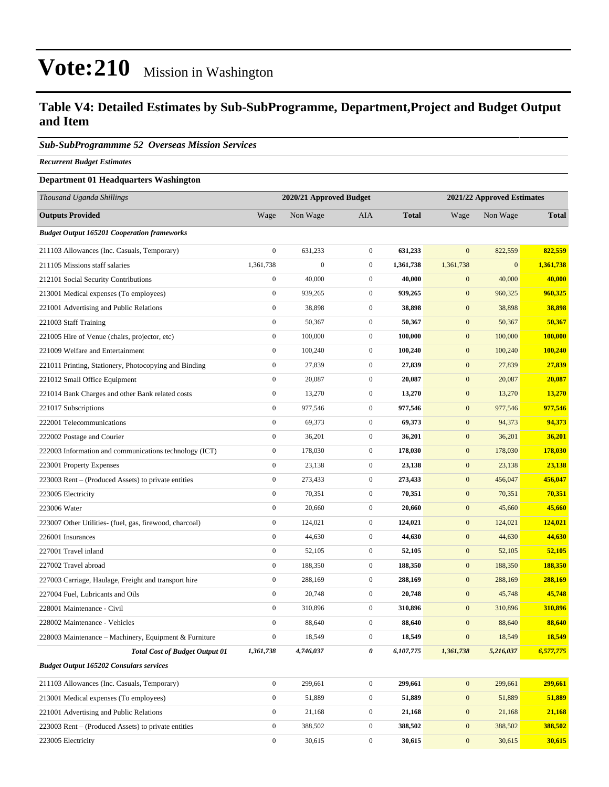### **Table V4: Detailed Estimates by Sub-SubProgramme, Department,Project and Budget Output and Item**

#### *Sub-SubProgrammme 52 Overseas Mission Services*

*Recurrent Budget Estimates*

#### **Department 01 Headquarters Washington**

| Thousand Uganda Shillings                               | 2020/21 Approved Budget |                  |                  | 2021/22 Approved Estimates |                  |              |              |
|---------------------------------------------------------|-------------------------|------------------|------------------|----------------------------|------------------|--------------|--------------|
| <b>Outputs Provided</b>                                 | Wage                    | Non Wage         | <b>AIA</b>       | <b>Total</b>               | Wage             | Non Wage     | <b>Total</b> |
| <b>Budget Output 165201 Cooperation frameworks</b>      |                         |                  |                  |                            |                  |              |              |
| 211103 Allowances (Inc. Casuals, Temporary)             | $\mathbf{0}$            | 631,233          | $\overline{0}$   | 631,233                    | $\overline{0}$   | 822,559      | 822,559      |
| 211105 Missions staff salaries                          | 1,361,738               | $\boldsymbol{0}$ | $\boldsymbol{0}$ | 1,361,738                  | 1,361,738        | $\mathbf{0}$ | 1,361,738    |
| 212101 Social Security Contributions                    | $\boldsymbol{0}$        | 40,000           | $\overline{0}$   | 40,000                     | $\mathbf{0}$     | 40,000       | 40,000       |
| 213001 Medical expenses (To employees)                  | $\boldsymbol{0}$        | 939,265          | $\overline{0}$   | 939,265                    | $\mathbf{0}$     | 960,325      | 960,325      |
| 221001 Advertising and Public Relations                 | $\boldsymbol{0}$        | 38,898           | $\overline{0}$   | 38,898                     | $\mathbf{0}$     | 38,898       | 38,898       |
| 221003 Staff Training                                   | $\boldsymbol{0}$        | 50,367           | $\boldsymbol{0}$ | 50,367                     | $\mathbf{0}$     | 50,367       | 50,367       |
| 221005 Hire of Venue (chairs, projector, etc)           | $\boldsymbol{0}$        | 100,000          | $\overline{0}$   | 100,000                    | $\mathbf{0}$     | 100,000      | 100,000      |
| 221009 Welfare and Entertainment                        | $\mathbf{0}$            | 100,240          | $\overline{0}$   | 100,240                    | $\mathbf{0}$     | 100,240      | 100,240      |
| 221011 Printing, Stationery, Photocopying and Binding   | $\mathbf{0}$            | 27,839           | $\overline{0}$   | 27,839                     | $\mathbf{0}$     | 27,839       | 27,839       |
| 221012 Small Office Equipment                           | $\boldsymbol{0}$        | 20,087           | $\boldsymbol{0}$ | 20,087                     | $\boldsymbol{0}$ | 20,087       | 20,087       |
| 221014 Bank Charges and other Bank related costs        | $\boldsymbol{0}$        | 13,270           | $\overline{0}$   | 13,270                     | $\boldsymbol{0}$ | 13,270       | 13,270       |
| 221017 Subscriptions                                    | $\boldsymbol{0}$        | 977,546          | $\overline{0}$   | 977,546                    | $\mathbf{0}$     | 977,546      | 977,546      |
| 222001 Telecommunications                               | $\boldsymbol{0}$        | 69,373           | $\boldsymbol{0}$ | 69,373                     | $\mathbf{0}$     | 94,373       | 94,373       |
| 222002 Postage and Courier                              | $\boldsymbol{0}$        | 36,201           | $\boldsymbol{0}$ | 36,201                     | $\mathbf{0}$     | 36,201       | 36,201       |
| 222003 Information and communications technology (ICT)  | $\boldsymbol{0}$        | 178,030          | $\overline{0}$   | 178,030                    | $\mathbf{0}$     | 178,030      | 178,030      |
| 223001 Property Expenses                                | $\boldsymbol{0}$        | 23,138           | $\overline{0}$   | 23,138                     | $\mathbf{0}$     | 23,138       | 23,138       |
| 223003 Rent – (Produced Assets) to private entities     | $\boldsymbol{0}$        | 273,433          | $\overline{0}$   | 273,433                    | $\mathbf{0}$     | 456,047      | 456,047      |
| 223005 Electricity                                      | $\boldsymbol{0}$        | 70,351           | $\boldsymbol{0}$ | 70,351                     | $\boldsymbol{0}$ | 70,351       | 70,351       |
| 223006 Water                                            | $\boldsymbol{0}$        | 20,660           | $\overline{0}$   | 20,660                     | $\mathbf{0}$     | 45,660       | 45,660       |
| 223007 Other Utilities- (fuel, gas, firewood, charcoal) | $\boldsymbol{0}$        | 124,021          | $\overline{0}$   | 124,021                    | $\mathbf{0}$     | 124,021      | 124,021      |
| 226001 Insurances                                       | $\boldsymbol{0}$        | 44,630           | $\overline{0}$   | 44,630                     | $\mathbf{0}$     | 44,630       | 44,630       |
| 227001 Travel inland                                    | $\boldsymbol{0}$        | 52,105           | $\boldsymbol{0}$ | 52,105                     | $\boldsymbol{0}$ | 52,105       | 52,105       |
| 227002 Travel abroad                                    | $\boldsymbol{0}$        | 188,350          | $\overline{0}$   | 188,350                    | $\mathbf{0}$     | 188,350      | 188,350      |
| 227003 Carriage, Haulage, Freight and transport hire    | $\boldsymbol{0}$        | 288,169          | $\overline{0}$   | 288,169                    | $\boldsymbol{0}$ | 288,169      | 288,169      |
| 227004 Fuel, Lubricants and Oils                        | $\mathbf{0}$            | 20,748           | $\boldsymbol{0}$ | 20,748                     | $\mathbf{0}$     | 45,748       | 45,748       |
| 228001 Maintenance - Civil                              | $\boldsymbol{0}$        | 310,896          | $\boldsymbol{0}$ | 310,896                    | $\mathbf{0}$     | 310,896      | 310,896      |
| 228002 Maintenance - Vehicles                           | $\boldsymbol{0}$        | 88,640           | $\boldsymbol{0}$ | 88,640                     | $\mathbf{0}$     | 88,640       | 88,640       |
| 228003 Maintenance - Machinery, Equipment & Furniture   | $\boldsymbol{0}$        | 18,549           | $\overline{0}$   | 18,549                     | $\mathbf{0}$     | 18,549       | 18,549       |
| <b>Total Cost of Budget Output 01</b>                   | 1,361,738               | 4,746,037        | 0                | 6,107,775                  | 1,361,738        | 5,216,037    | 6,577,775    |
| <b>Budget Output 165202 Consulars services</b>          |                         |                  |                  |                            |                  |              |              |
| 211103 Allowances (Inc. Casuals, Temporary)             | $\boldsymbol{0}$        | 299,661          | $\overline{0}$   | 299,661                    | $\mathbf{0}$     | 299,661      | 299,661      |
| 213001 Medical expenses (To employees)                  | $\mathbf{0}$            | 51,889           | $\overline{0}$   | 51,889                     | $\overline{0}$   | 51,889       | 51,889       |

221001 Advertising and Public Relations 0 21,168 0 **21,168** 0 21,168 **21,168** 223003 Rent ±(Produced Assets) to private entities 0 388,502 0 **388,502** 0 388,502 **388,502** 223005 Electricity 0 30,615 0 **30,615** 0 30,615 **30,615**